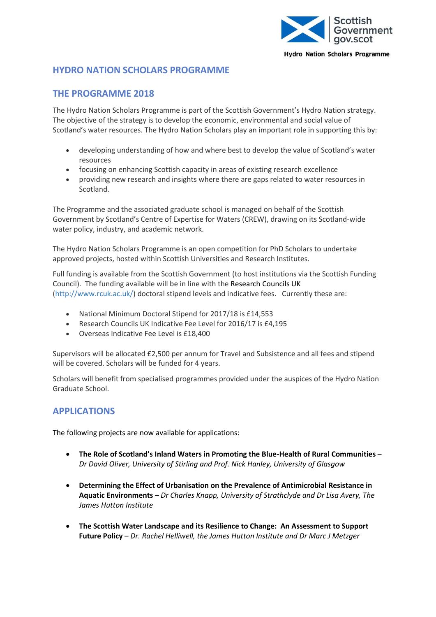

**Hydro Nation Scholars Programme** 

## **HYDRO NATION SCHOLARS PROGRAMME**

## **THE PROGRAMME 2018**

The Hydro Nation Scholars Programme is part of the Scottish Government's Hydro Nation strategy. The objective of the strategy is to develop the economic, environmental and social value of Scotland's water resources. The Hydro Nation Scholars play an important role in supporting this by:

- developing understanding of how and where best to develop the value of Scotland's water resources
- focusing on enhancing Scottish capacity in areas of existing research excellence
- providing new research and insights where there are gaps related to water resources in Scotland.

The Programme and the associated graduate school is managed on behalf of the Scottish Government by Scotland's Centre of Expertise for Waters (CREW), drawing on its Scotland-wide water policy, industry, and academic network.

The Hydro Nation Scholars Programme is an open competition for PhD Scholars to undertake approved projects, hosted within Scottish Universities and Research Institutes.

Full funding is available from the Scottish Government (to host institutions via the Scottish Funding Council). The funding available will be in line with the [Research Councils UK](http://www.rcuk.ac.uk/skills/training/) [\(http://www.rcuk.ac.uk/\)](http://www.rcuk.ac.uk/) doctoral stipend levels and indicative fees. Currently these are:

- National Minimum Doctoral Stipend for 2017/18 is £14,553
- Research Councils UK Indicative Fee Level for 2016/17 is £4,195
- Overseas Indicative Fee Level is £18,400

Supervisors will be allocated £2,500 per annum for Travel and Subsistence and all fees and stipend will be covered. Scholars will be funded for 4 years.

Scholars will benefit from specialised programmes provided under the auspices of the Hydro Nation Graduate School.

## **APPLICATIONS**

The following projects are now available for applications:

- **The Role of Scotland's Inland Waters in Promoting the Blue-Health of Rural Communities** *Dr David Oliver, University of Stirling and Prof. Nick Hanley, University of Glasgow*
- **Determining the Effect of Urbanisation on the Prevalence of Antimicrobial Resistance in Aquatic Environments** *– Dr Charles Knapp, University of Strathclyde and Dr Lisa Avery, The James Hutton Institute*
- **The Scottish Water Landscape and its Resilience to Change: An Assessment to Support Future Policy** – *Dr. Rachel Helliwell, the James Hutton Institute and Dr Marc J Metzger*